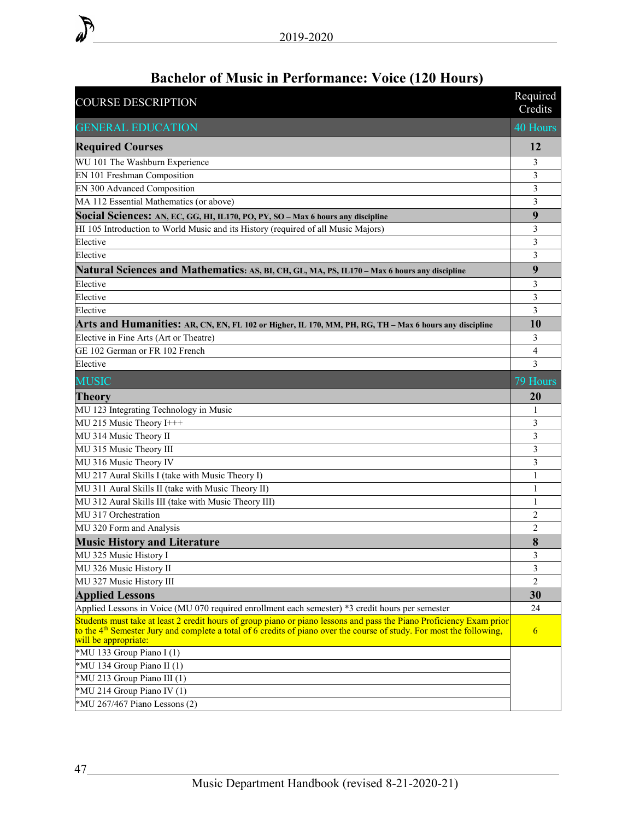| <b>COURSE DESCRIPTION</b>                                                                                                                                                                                                                                               | Required<br>Credits |
|-------------------------------------------------------------------------------------------------------------------------------------------------------------------------------------------------------------------------------------------------------------------------|---------------------|
| <b>GENERAL EDUCATION</b>                                                                                                                                                                                                                                                | 40 Hours            |
| <b>Required Courses</b>                                                                                                                                                                                                                                                 | 12                  |
| WU 101 The Washburn Experience                                                                                                                                                                                                                                          | 3                   |
| EN 101 Freshman Composition                                                                                                                                                                                                                                             | 3                   |
| EN 300 Advanced Composition                                                                                                                                                                                                                                             | 3                   |
| MA 112 Essential Mathematics (or above)                                                                                                                                                                                                                                 | 3                   |
| Social Sciences: AN, EC, GG, HI, IL170, PO, PY, SO - Max 6 hours any discipline                                                                                                                                                                                         | 9                   |
| HI 105 Introduction to World Music and its History (required of all Music Majors)                                                                                                                                                                                       | 3                   |
| Elective                                                                                                                                                                                                                                                                | 3                   |
| Elective                                                                                                                                                                                                                                                                | 3                   |
| Natural Sciences and Mathematics: AS, BI, CH, GL, MA, PS, IL170 - Max 6 hours any discipline                                                                                                                                                                            | 9                   |
| Elective                                                                                                                                                                                                                                                                | 3                   |
| Elective                                                                                                                                                                                                                                                                | 3                   |
| Elective                                                                                                                                                                                                                                                                | $\overline{3}$      |
| Arts and Humanities: AR, CN, EN, FL 102 or Higher, IL 170, MM, PH, RG, TH – Max 6 hours any discipline                                                                                                                                                                  | 10                  |
| Elective in Fine Arts (Art or Theatre)                                                                                                                                                                                                                                  | 3                   |
| GE 102 German or FR 102 French                                                                                                                                                                                                                                          | 4                   |
| Elective                                                                                                                                                                                                                                                                | 3                   |
| <b>MUSIC</b>                                                                                                                                                                                                                                                            | 79 Hours            |
| <b>Theory</b>                                                                                                                                                                                                                                                           | 20                  |
| MU 123 Integrating Technology in Music                                                                                                                                                                                                                                  | 1                   |
| MU 215 Music Theory I+++                                                                                                                                                                                                                                                | 3                   |
| MU 314 Music Theory II                                                                                                                                                                                                                                                  | 3                   |
| MU 315 Music Theory III                                                                                                                                                                                                                                                 | 3                   |
| MU 316 Music Theory IV                                                                                                                                                                                                                                                  | 3                   |
| MU 217 Aural Skills I (take with Music Theory I)                                                                                                                                                                                                                        | 1                   |
| MU 311 Aural Skills II (take with Music Theory II)                                                                                                                                                                                                                      | 1                   |
| MU 312 Aural Skills III (take with Music Theory III)                                                                                                                                                                                                                    | 1                   |
| MU 317 Orchestration                                                                                                                                                                                                                                                    | 2                   |
| MU 320 Form and Analysis                                                                                                                                                                                                                                                | $\overline{2}$      |
| <b>Music History and Literature</b>                                                                                                                                                                                                                                     | 8                   |
| MU 325 Music History I                                                                                                                                                                                                                                                  | 3                   |
| MU 326 Music History II                                                                                                                                                                                                                                                 | 3                   |
| MU 327 Music History III                                                                                                                                                                                                                                                | $\overline{2}$      |
| <b>Applied Lessons</b>                                                                                                                                                                                                                                                  | 30                  |
| Applied Lessons in Voice (MU 070 required enrollment each semester) *3 credit hours per semester                                                                                                                                                                        | 24                  |
| Students must take at least 2 credit hours of group piano or piano lessons and pass the Piano Proficiency Exam prior<br>to the $4th$ Semester Jury and complete a total of 6 credits of piano over the course of study. For most the following,<br>will be appropriate: | 6                   |
| *MU 133 Group Piano I (1)                                                                                                                                                                                                                                               |                     |
| *MU 134 Group Piano II (1)                                                                                                                                                                                                                                              |                     |
| *MU 213 Group Piano III (1)                                                                                                                                                                                                                                             |                     |
| *MU 214 Group Piano IV (1)                                                                                                                                                                                                                                              |                     |
| *MU 267/467 Piano Lessons (2)                                                                                                                                                                                                                                           |                     |

## **Bachelor of Music in Performance: Voice (120 Hours)**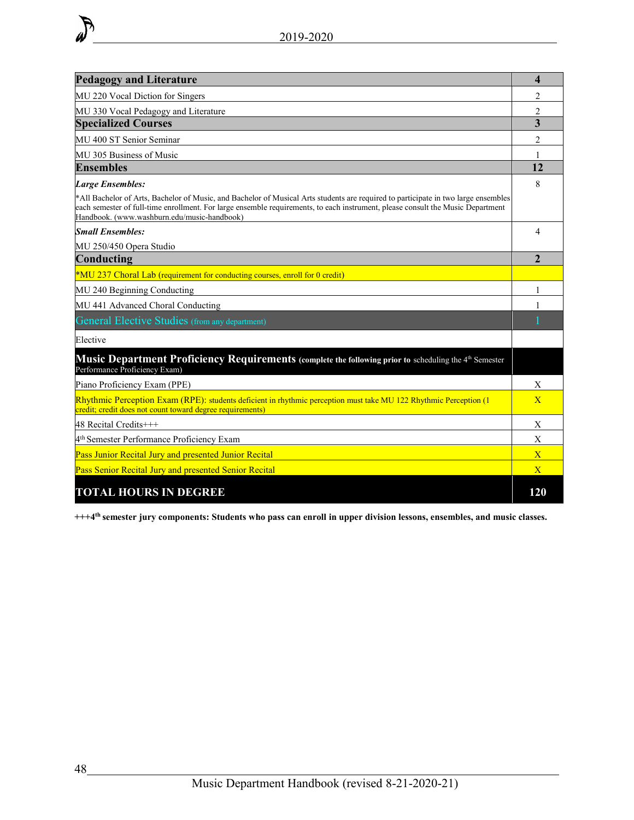| <b>Pedagogy and Literature</b>                                                                                                                                                                                                                                                                                       | 4                     |
|----------------------------------------------------------------------------------------------------------------------------------------------------------------------------------------------------------------------------------------------------------------------------------------------------------------------|-----------------------|
| MU 220 Vocal Diction for Singers                                                                                                                                                                                                                                                                                     | 2                     |
| MU 330 Vocal Pedagogy and Literature                                                                                                                                                                                                                                                                                 | $\overline{2}$        |
| <b>Specialized Courses</b>                                                                                                                                                                                                                                                                                           | 3                     |
| MU 400 ST Senior Seminar                                                                                                                                                                                                                                                                                             | $\mathfrak{D}$        |
| MU 305 Business of Music                                                                                                                                                                                                                                                                                             |                       |
| <b>Ensembles</b>                                                                                                                                                                                                                                                                                                     | 12                    |
| <b>Large Ensembles:</b>                                                                                                                                                                                                                                                                                              | 8                     |
| *All Bachelor of Arts, Bachelor of Music, and Bachelor of Musical Arts students are required to participate in two large ensembles<br>each semester of full-time enrollment. For large ensemble requirements, to each instrument, please consult the Music Department<br>Handbook. (www.washburn.edu/music-handbook) |                       |
| <b>Small Ensembles:</b>                                                                                                                                                                                                                                                                                              | $\boldsymbol{\Delta}$ |
| MU 250/450 Opera Studio                                                                                                                                                                                                                                                                                              |                       |
| Conducting                                                                                                                                                                                                                                                                                                           | $\mathbf{2}$          |
| *MU 237 Choral Lab (requirement for conducting courses, enroll for 0 credit)                                                                                                                                                                                                                                         |                       |
| MU 240 Beginning Conducting                                                                                                                                                                                                                                                                                          |                       |
| MU 441 Advanced Choral Conducting                                                                                                                                                                                                                                                                                    |                       |
| <b>General Elective Studies</b> (from any department)                                                                                                                                                                                                                                                                |                       |
| Elective                                                                                                                                                                                                                                                                                                             |                       |
| Music Department Proficiency Requirements (complete the following prior to scheduling the 4 <sup>th</sup> Semester<br>Performance Proficiency Exam)                                                                                                                                                                  |                       |
| Piano Proficiency Exam (PPE)                                                                                                                                                                                                                                                                                         | X                     |
| Rhythmic Perception Exam (RPE): students deficient in rhythmic perception must take MU 122 Rhythmic Perception (1<br>credit; credit does not count toward degree requirements)                                                                                                                                       | $\overline{X}$        |
| $48$ Recital Credits $+++$                                                                                                                                                                                                                                                                                           | X                     |
| 4 <sup>th</sup> Semester Performance Proficiency Exam                                                                                                                                                                                                                                                                | X                     |
| Pass Junior Recital Jury and presented Junior Recital                                                                                                                                                                                                                                                                | $\overline{X}$        |
| Pass Senior Recital Jury and presented Senior Recital                                                                                                                                                                                                                                                                | $\mathbf{X}$          |
| <b>TOTAL HOURS IN DEGREE</b>                                                                                                                                                                                                                                                                                         | 120                   |

**+++4th semester jury components: Students who pass can enroll in upper division lessons, ensembles, and music classes.**